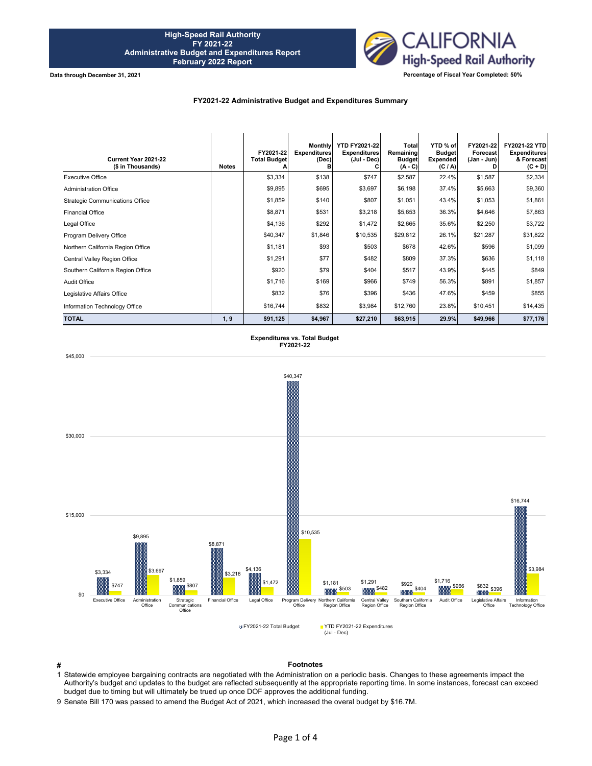

## **FY2021-22 Administrative Budget and Expenditures Summary**

| Current Year 2021-22<br>(\$ in Thousands) | <b>Notes</b> | FY2021-22<br><b>Total Budget</b> | Monthly<br><b>Expenditures</b><br>(Dec)<br>в | <b>YTD FY2021-22</b><br><b>Expenditures</b><br>(Jul - Dec) | Total<br>Remaining<br><b>Budget</b><br>$(A - C)$ | YTD % of<br><b>Budget</b><br><b>Expended</b><br>(C / A) | FY2021-22<br>Forecast<br>(Jan - Jun) | FY2021-22 YTD<br><b>Expenditures</b><br>& Forecast<br>$(C + D)$ |
|-------------------------------------------|--------------|----------------------------------|----------------------------------------------|------------------------------------------------------------|--------------------------------------------------|---------------------------------------------------------|--------------------------------------|-----------------------------------------------------------------|
| <b>Executive Office</b>                   |              | \$3,334                          | \$138                                        | \$747                                                      | \$2,587                                          | 22.4%                                                   | \$1,587                              | \$2,334                                                         |
| <b>Administration Office</b>              |              | \$9,895                          | \$695                                        | \$3,697                                                    | \$6,198                                          | 37.4%                                                   | \$5,663                              | \$9,360                                                         |
| <b>Strategic Communications Office</b>    |              | \$1,859                          | \$140                                        | \$807                                                      | \$1,051                                          | 43.4%                                                   | \$1,053                              | \$1,861                                                         |
| <b>Financial Office</b>                   |              | \$8,871                          | \$531                                        | \$3,218                                                    | \$5,653                                          | 36.3%                                                   | \$4,646                              | \$7,863                                                         |
| Legal Office                              |              | \$4,136                          | \$292                                        | \$1,472                                                    | \$2,665                                          | 35.6%                                                   | \$2,250                              | \$3,722                                                         |
| Program Delivery Office                   |              | \$40,347                         | \$1,846                                      | \$10,535                                                   | \$29,812                                         | 26.1%                                                   | \$21,287                             | \$31,822                                                        |
| Northern California Region Office         |              | \$1,181                          | \$93                                         | \$503                                                      | \$678                                            | 42.6%                                                   | \$596                                | \$1,099                                                         |
| Central Valley Region Office              |              | \$1,291                          | \$77                                         | \$482                                                      | \$809                                            | 37.3%                                                   | \$636                                | \$1,118                                                         |
| Southern California Region Office         |              | \$920                            | \$79                                         | \$404                                                      | \$517                                            | 43.9%                                                   | \$445                                | \$849                                                           |
| <b>Audit Office</b>                       |              | \$1,716                          | \$169                                        | \$966                                                      | \$749                                            | 56.3%                                                   | \$891                                | \$1,857                                                         |
| Legislative Affairs Office                |              | \$832                            | \$76                                         | \$396                                                      | \$436                                            | 47.6%                                                   | \$459                                | \$855                                                           |
| Information Technology Office             |              | \$16,744                         | \$832                                        | \$3,984                                                    | \$12,760                                         | 23.8%                                                   | \$10,451                             | \$14,435                                                        |
| <b>TOTAL</b>                              | 1, 9         | \$91,125                         | \$4,967                                      | \$27,210                                                   | \$63,915                                         | 29.9%                                                   | \$49,966                             | \$77,176                                                        |

**Expenditures vs. Total Budget FY2021-22**





**# Footnotes**

1 Statewide employee bargaining contracts are negotiated with the Administration on a periodic basis. Changes to these agreements impact the Authority's budget and updates to the budget are reflected subsequently at the appropriate reporting time. In some instances, forecast can exceed budget due to timing but will ultimately be trued up once DOF approves the additional funding.

9 Senate Bill 170 was passed to amend the Budget Act of 2021, which increased the overal budget by \$16.7M.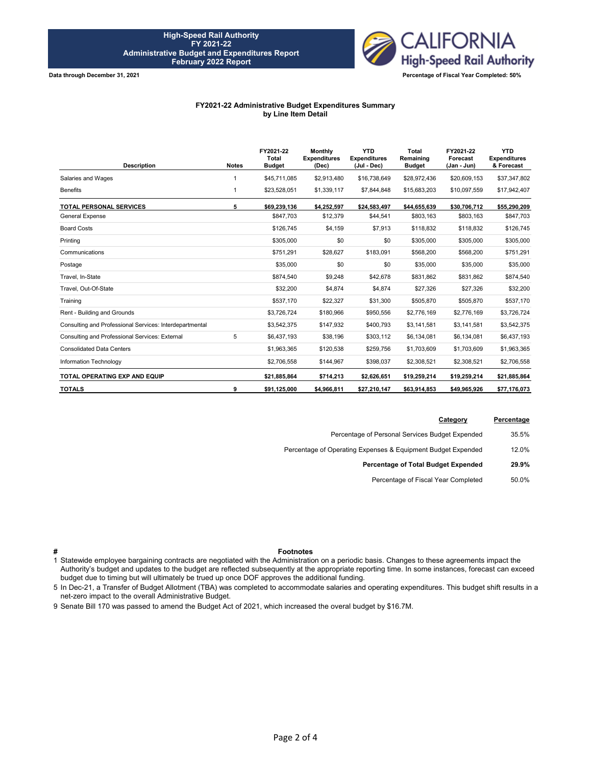

## **FY2021-22 Administrative Budget Expenditures Summary by Line Item Detail**

| <b>Description</b>                                      | <b>Notes</b> | FY2021-22<br><b>Total</b><br><b>Budget</b> | <b>Monthly</b><br><b>Expenditures</b><br>(Dec) | <b>YTD</b><br><b>Expenditures</b><br>(Jul - Dec) | Total<br>Remaining<br><b>Budget</b> | FY2021-22<br>Forecast<br>(Jan - Jun) | <b>YTD</b><br><b>Expenditures</b><br>& Forecast |
|---------------------------------------------------------|--------------|--------------------------------------------|------------------------------------------------|--------------------------------------------------|-------------------------------------|--------------------------------------|-------------------------------------------------|
| Salaries and Wages                                      |              | \$45,711,085                               | \$2,913,480                                    | \$16,738,649                                     | \$28,972,436                        | \$20,609,153                         | \$37,347,802                                    |
| <b>Benefits</b>                                         | 1            | \$23,528,051                               | \$1,339,117                                    | \$7,844,848                                      | \$15,683,203                        | \$10,097,559                         | \$17,942,407                                    |
| <b>TOTAL PERSONAL SERVICES</b>                          | 5            | \$69,239,136                               | \$4,252,597                                    | \$24,583,497                                     | \$44,655,639                        | \$30,706,712                         | \$55,290,209                                    |
| <b>General Expense</b>                                  |              | \$847,703                                  | \$12,379                                       | \$44,541                                         | \$803,163                           | \$803,163                            | \$847,703                                       |
| <b>Board Costs</b>                                      |              | \$126,745                                  | \$4,159                                        | \$7,913                                          | \$118,832                           | \$118,832                            | \$126,745                                       |
| Printing                                                |              | \$305,000                                  | \$0                                            | \$0                                              | \$305,000                           | \$305,000                            | \$305,000                                       |
| Communications                                          |              | \$751,291                                  | \$28,627                                       | \$183,091                                        | \$568,200                           | \$568,200                            | \$751,291                                       |
| Postage                                                 |              | \$35,000                                   | \$0                                            | \$0                                              | \$35,000                            | \$35,000                             | \$35,000                                        |
| Travel, In-State                                        |              | \$874,540                                  | \$9,248                                        | \$42,678                                         | \$831,862                           | \$831,862                            | \$874,540                                       |
| Travel, Out-Of-State                                    |              | \$32,200                                   | \$4,874                                        | \$4,874                                          | \$27,326                            | \$27,326                             | \$32,200                                        |
| Training                                                |              | \$537,170                                  | \$22,327                                       | \$31,300                                         | \$505,870                           | \$505,870                            | \$537,170                                       |
| Rent - Building and Grounds                             |              | \$3,726,724                                | \$180,966                                      | \$950,556                                        | \$2,776,169                         | \$2,776,169                          | \$3,726,724                                     |
| Consulting and Professional Services: Interdepartmental |              | \$3,542,375                                | \$147,932                                      | \$400.793                                        | \$3,141,581                         | \$3,141,581                          | \$3,542,375                                     |
| Consulting and Professional Services: External          | 5            | \$6,437,193                                | \$38,196                                       | \$303,112                                        | \$6,134,081                         | \$6,134,081                          | \$6,437,193                                     |
| <b>Consolidated Data Centers</b>                        |              | \$1,963,365                                | \$120,538                                      | \$259,756                                        | \$1,703,609                         | \$1,703,609                          | \$1,963,365                                     |
| Information Technology                                  |              | \$2,706,558                                | \$144,967                                      | \$398,037                                        | \$2,308,521                         | \$2,308,521                          | \$2,706,558                                     |
| TOTAL OPERATING EXP AND EQUIP                           |              | \$21.885.864                               | \$714,213                                      | \$2,626,651                                      | \$19,259,214                        | \$19,259,214                         | \$21,885,864                                    |
| <b>TOTALS</b>                                           | 9            | \$91,125,000                               | \$4,966,811                                    | \$27,210,147                                     | \$63.914.853                        | \$49,965,926                         | \$77,176,073                                    |

| Percentage | Category                                                     |
|------------|--------------------------------------------------------------|
| 35.5%      | Percentage of Personal Services Budget Expended              |
| 12.0%      | Percentage of Operating Expenses & Equipment Budget Expended |
| 29.9%      | Percentage of Total Budget Expended                          |
| 50.0%      | Percentage of Fiscal Year Completed                          |
|            |                                                              |

## **# Footnotes**

1 Statewide employee bargaining contracts are negotiated with the Administration on a periodic basis. Changes to these agreements impact the Authority's budget and updates to the budget are reflected subsequently at the appropriate reporting time. In some instances, forecast can exceed budget due to timing but will ultimately be trued up once DOF approves the additional funding.

5 In Dec-21, a Transfer of Budget Allotment (TBA) was completed to accommodate salaries and operating expenditures. This budget shift results in a net-zero impact to the overall Administrative Budget.

9 Senate Bill 170 was passed to amend the Budget Act of 2021, which increased the overal budget by \$16.7M.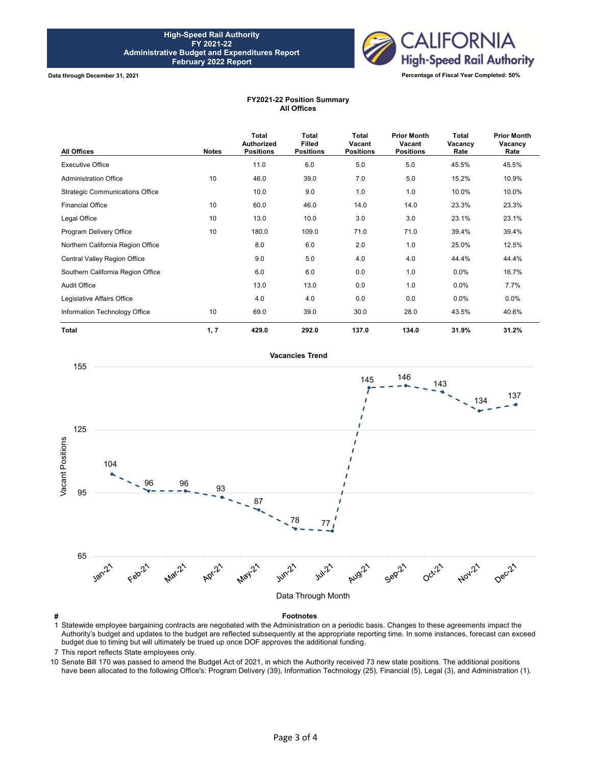

## **FY2021-22 Position Summary All Offices**

| All Offices                            | <b>Notes</b> | Total<br><b>Authorized</b><br><b>Positions</b> | <b>Total</b><br><b>Filled</b><br><b>Positions</b> | <b>Total</b><br>Vacant<br><b>Positions</b> | <b>Prior Month</b><br>Vacant<br><b>Positions</b> | Total<br>Vacancy<br>Rate | <b>Prior Month</b><br>Vacancy<br>Rate |
|----------------------------------------|--------------|------------------------------------------------|---------------------------------------------------|--------------------------------------------|--------------------------------------------------|--------------------------|---------------------------------------|
| <b>Executive Office</b>                |              | 11.0                                           | 6.0                                               | 5.0                                        | 5.0                                              | 45.5%                    | 45.5%                                 |
| <b>Administration Office</b>           | 10           | 46.0                                           | 39.0                                              | 7.0                                        | 5.0                                              | 15.2%                    | 10.9%                                 |
| <b>Strategic Communications Office</b> |              | 10.0                                           | 9.0                                               | 1.0                                        | 1.0                                              | 10.0%                    | 10.0%                                 |
| <b>Financial Office</b>                | 10           | 60.0                                           | 46.0                                              | 14.0                                       | 14.0                                             | 23.3%                    | 23.3%                                 |
| Legal Office                           | 10           | 13.0                                           | 10.0                                              | 3.0                                        | 3.0                                              | 23.1%                    | 23.1%                                 |
| Program Delivery Office                | 10           | 180.0                                          | 109.0                                             | 71.0                                       | 71.0                                             | 39.4%                    | 39.4%                                 |
| Northern California Region Office      |              | 8.0                                            | 6.0                                               | 2.0                                        | 1.0                                              | 25.0%                    | 12.5%                                 |
| Central Valley Region Office           |              | 9.0                                            | 5.0                                               | 4.0                                        | 4.0                                              | 44.4%                    | 44.4%                                 |
| Southern California Region Office      |              | 6.0                                            | 6.0                                               | 0.0                                        | 1.0                                              | $0.0\%$                  | 16.7%                                 |
| Audit Office                           |              | 13.0                                           | 13.0                                              | 0.0                                        | 1.0                                              | $0.0\%$                  | 7.7%                                  |
| Legislative Affairs Office             |              | 4.0                                            | 4.0                                               | 0.0                                        | 0.0                                              | $0.0\%$                  | $0.0\%$                               |
| Information Technology Office          | 10           | 69.0                                           | 39.0                                              | 30.0                                       | 28.0                                             | 43.5%                    | 40.6%                                 |
| <b>Total</b>                           | 1, 7         | 429.0                                          | 292.0                                             | 137.0                                      | 134.0                                            | 31.9%                    | 31.2%                                 |



1 Statewide employee bargaining contracts are negotiated with the Administration on a periodic basis. Changes to these agreements impact the Authority's budget and updates to the budget are reflected subsequently at the appropriate reporting time. In some instances, forecast can exceed budget due to timing but will ultimately be trued up once DOF approves the additional funding.

7 This report reflects State employees only.

10 Senate Bill 170 was passed to amend the Budget Act of 2021, in which the Authority received 73 new state positions. The additional positions have been allocated to the following Office's: Program Delivery (39), Information Technology (25), Financial (5), Legal (3), and Administration (1).